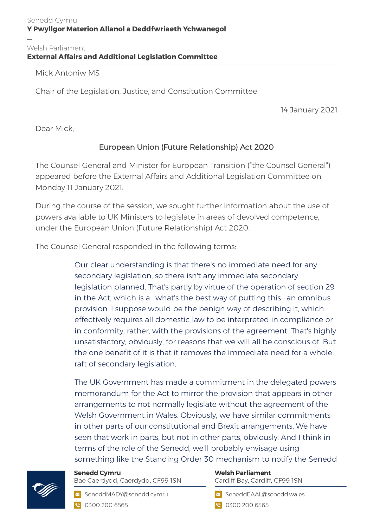## Welsh Parliament<br>External Affairs and Additional Legislation Committee

Mick Antoniw MS

Chair of the Legislation, Justice, and Constitution Committee

14 January 2021

Dear Mick,

## European Union (Future Relationship) Act 2020

The Counsel General and Minister for European Transition ("the Counsel General") appeared before the External Affairs and Additional Legislation Committee on Monday 11 January 2021.

During the course of the session, we sought further information about the use of powers available to UK Ministers to legislate in areas of devolved competence, under the European Union (Future Relationship) Act 2020.

The Counsel General responded in the following terms:

Our clear understanding is that there's no immediate need for any secondary legislation, so there isn't any immediate secondary legislation planned. That's partly by virtue of the operation of section 29 in the Act, which is a—what's the best way of putting this—an omnibus provision, I suppose would be the benign way of describing it, which effectively requires all domestic law to be interpreted in compliance or in conformity, rather, with the provisions of the agreement. That's highly unsatisfactory, obviously, for reasons that we will all be conscious of. But the one benefit of it is that it removes the immediate need for a whole raft of secondary legislation.

The UK Government has made a commitment in the delegated powers memorandum for the Act to mirror the provision that appears in other arrangements to not normally legislate without the agreement of the Welsh Government in Wales. Obviously, we have similar commitments in other parts of our constitutional and Brexit arrangements. We have seen that work in parts, but not in other parts, obviously. And I think in terms of the role of the Senedd, we'll probably envisage using something like the Standing Order 30 mechanism to notify the Senedd



**Senedd Cymru** Bae Caerdydd, Caerdydd, CF99 ISN

SeneddMADY@senedd.cymru C 0300 200 6565

**Welsh Parliament** Cardiff Bay, Cardiff, CF99 ISN

SeneddEAAL@senedd.wales

● 0300 200 6565